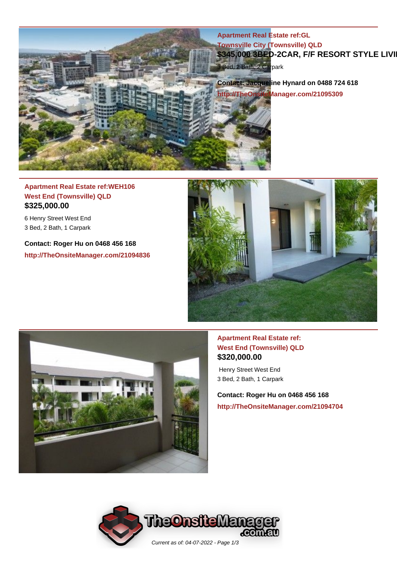

## **Apartment Real Estate ref:WEH106 West End (Townsville) QLD \$325,000.00**

6 Henry Street West End 3 Bed, 2 Bath, 1 Carpark

**Contact: Roger Hu on 0468 456 168 http://TheOnsiteManager.com/21094836**





#### **Apartment Real Estate ref: West End (Townsville) QLD \$320,000.00**

 Henry Street West End 3 Bed, 2 Bath, 1 Carpark

**Contact: Roger Hu on 0468 456 168 http://TheOnsiteManager.com/21094704**

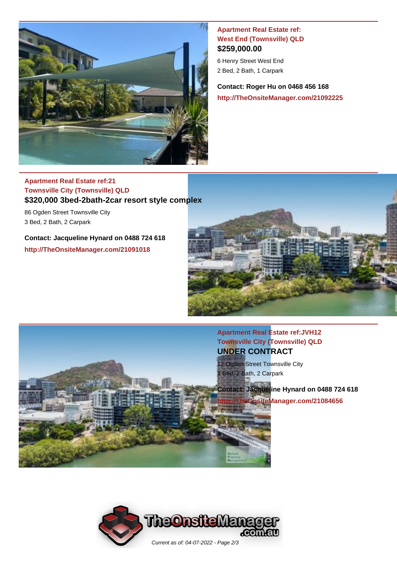

#### **Apartment Real Estate ref: West End (Townsville) QLD \$259,000.00**

6 Henry Street West End 2 Bed, 2 Bath, 1 Carpark

**Contact: Roger Hu on 0468 456 168 http://TheOnsiteManager.com/21092225**

## **Apartment Real Estate ref:21 Townsville City (Townsville) QLD \$320,000 3bed-2bath-2car resort style complex**

86 Ogden Street Townsville City 3 Bed, 2 Bath, 2 Carpark

**Contact: Jacqueline Hynard on 0488 724 618 http://TheOnsiteManager.com/21091018**



**Apartment Real Estate ref:JVH12 Townsville City (Townsville) QLD UNDER CONTRACT**

12 Ogden Street Townsville City 3 Bed, 2 Bath, 2 Carpark

**Contact: Jacqueline Hynard on 0488 724 618 iOnsiteManager.com/21084656**